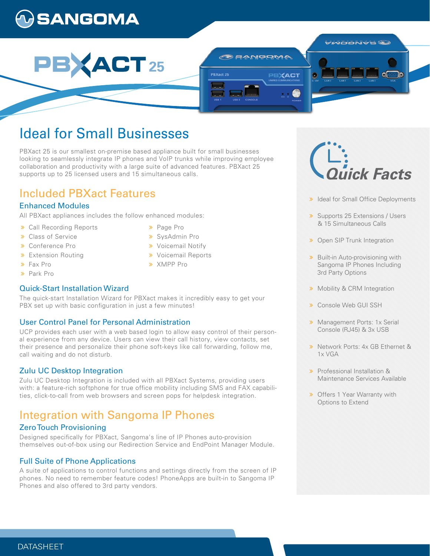# **GANGOMA**



# Ideal for Small Businesses

PBXact 25 is our smallest on-premise based appliance built for small businesses looking to seamlessly integrate IP phones and VoIP trunks while improving employee collaboration and productivity with a large suite of advanced features. PBXact 25 supports up to 25 licensed users and 15 simultaneous calls.

> > Page Pro SysAdmin Pro **»** Voicemail Notify **»** Voicemail Reports

**»** XMPP Pro

## Included PBXact Features

## Enhanced Modules

All PBXact appliances includes the follow enhanced modules:

- Call Recording Reports
- **>>** Class of Service
- Conference Pro
- **>** Extension Routing
- Fax Pro
- Park Pro

## Quick-Start Installation Wizard

The quick-start Installation Wizard for PBXact makes it incredibly easy to get your PBX set up with basic configuration in just a few minutes!

## User Control Panel for Personal Administration

UCP provides each user with a web based login to allow easy control of their personal experience from any device. Users can view their call history, view contacts, set their presence and personalize their phone soft-keys like call forwarding, follow me, call waiting and do not disturb.

## Zulu UC Desktop Integration

Zulu UC Desktop Integration is included with all PBXact Systems, providing users with: a feature-rich softphone for true office mobility including SMS and FAX capabilities, click-to-call from web browsers and screen pops for helpdesk integration.

## Integration with Sangoma IP Phones

## Zero Touch Provisioning

Designed specifically for PBXact, Sangoma's line of IP Phones auto-provision themselves out-of-box using our Redirection Service and EndPoint Manager Module.

## Full Suite of Phone Applications

A suite of applications to control functions and settings directly from the screen of IP phones. No need to remember feature codes! PhoneApps are built-in to Sangoma IP Phones and also offered to 3rd party vendors.



- > Ideal for Small Office Deployments
- > Supports 25 Extensions / Users & 15 Simultaneous Calls
- **»** Open SIP Trunk Integration
- **»** Built-in Auto-provisioning with Sangoma IP Phones Including 3rd Party Options
- **»** Mobility & CRM Integration
- Console Web GUI SSH
- **»** Management Ports: 1x Serial Console (RJ45) & 3x USB
- Network Ports: 4x GB Ethernet & 1x VGA
- Professional Installation & Maintenance Services Available
- **»** Offers 1 Year Warranty with Options to Extend